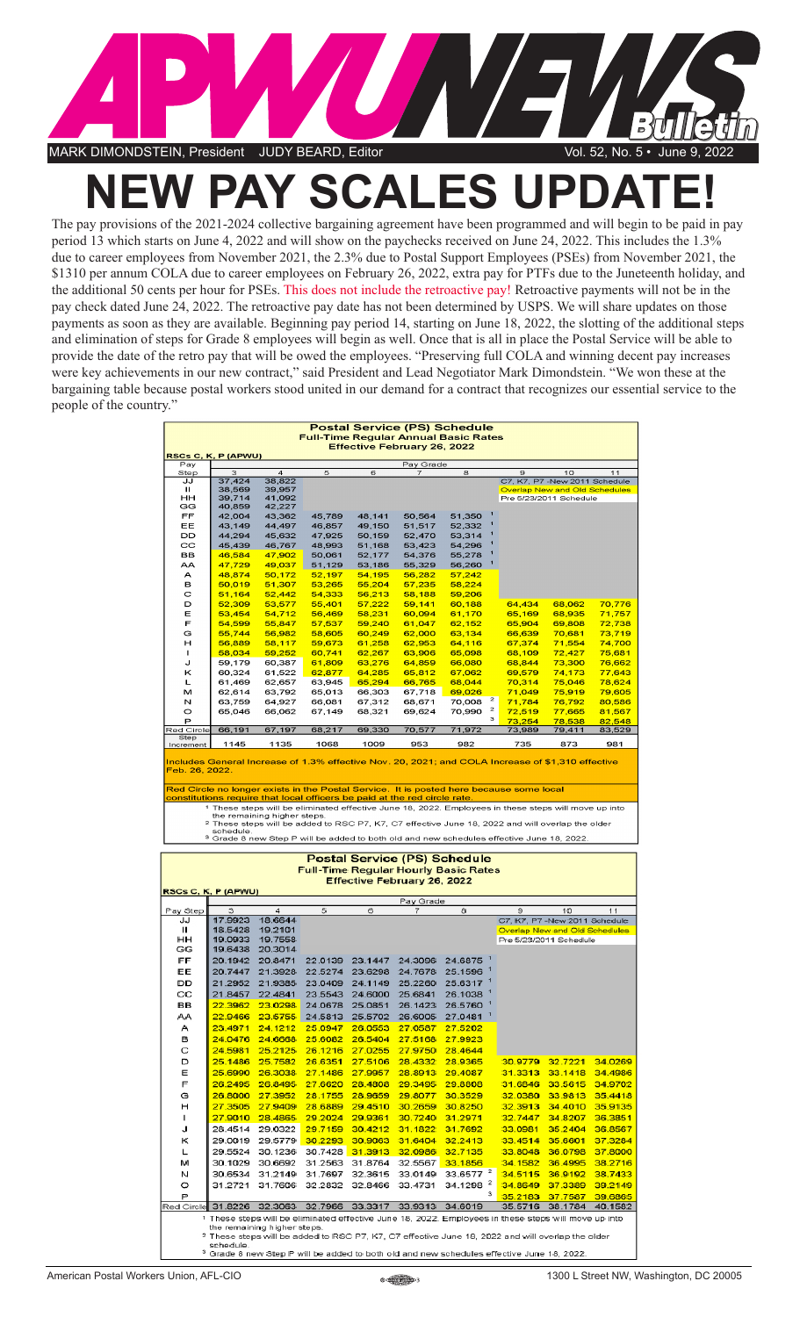

## **NEW PAY SCALES UPDATE!**

The pay provisions of the 2021-2024 collective bargaining agreement have been programmed and will begin to be paid in pay period 13 which starts on June 4, 2022 and will show on the paychecks received on June 24, 2022. This includes the 1.3% due to career employees from November 2021, the 2.3% due to Postal Support Employees (PSEs) from November 2021, the \$1310 per annum COLA due to career employees on February 26, 2022, extra pay for PTFs due to the Juneteenth holiday, and the additional 50 cents per hour for PSEs. This does not include the retroactive pay! Retroactive payments will not be in the pay check dated June 24, 2022. The retroactive pay date has not been determined by USPS. We will share updates on those payments as soon as they are available. Beginning pay period 14, starting on June 18, 2022, the slotting of the additional steps and elimination of steps for Grade 8 employees will begin as well. Once that is all in place the Postal Service will be able to provide the date of the retro pay that will be owed the employees. "Preserving full COLA and winning decent pay increases were key achievements in our new contract," said President and Lead Negotiator Mark Dimondstein. "We won these at the bargaining table because postal workers stood united in our demand for a contract that recognizes our essential service to the people of the country."

| <b>Postal Service (PS) Schedule</b><br><b>Full-Time Regular Annual Basic Rates</b><br><b>Effective February 26, 2022</b><br>RSCs C, K, P (APWU)                                                                                                                                                                                                                                                     |                                                                                                                                                                                                                                                                 |                                                    |                    |                  |                  |                                                                                                             |                  |                                                                       |                  |  |
|-----------------------------------------------------------------------------------------------------------------------------------------------------------------------------------------------------------------------------------------------------------------------------------------------------------------------------------------------------------------------------------------------------|-----------------------------------------------------------------------------------------------------------------------------------------------------------------------------------------------------------------------------------------------------------------|----------------------------------------------------|--------------------|------------------|------------------|-------------------------------------------------------------------------------------------------------------|------------------|-----------------------------------------------------------------------|------------------|--|
| Pay                                                                                                                                                                                                                                                                                                                                                                                                 |                                                                                                                                                                                                                                                                 |                                                    |                    |                  | Pay Grade        |                                                                                                             |                  |                                                                       |                  |  |
| Step                                                                                                                                                                                                                                                                                                                                                                                                | з                                                                                                                                                                                                                                                               | $\overline{a}$                                     | 5                  | 6                | 7                | 8                                                                                                           | Э                | 10                                                                    | 11               |  |
| JJ<br>ш                                                                                                                                                                                                                                                                                                                                                                                             | 37,424<br>38,569                                                                                                                                                                                                                                                | 38,822<br>39,957                                   |                    |                  |                  |                                                                                                             |                  | C7, K7, P7 -New 2011 Schedule<br><b>Overlap New and Old Schedules</b> |                  |  |
| нн                                                                                                                                                                                                                                                                                                                                                                                                  | 39,714                                                                                                                                                                                                                                                          | 41,092                                             |                    |                  |                  |                                                                                                             |                  | Pre 5/23/2011 Schedule                                                |                  |  |
| GG                                                                                                                                                                                                                                                                                                                                                                                                  | 40,859                                                                                                                                                                                                                                                          | 42,227                                             |                    |                  |                  |                                                                                                             |                  |                                                                       |                  |  |
| FF                                                                                                                                                                                                                                                                                                                                                                                                  | 42,004                                                                                                                                                                                                                                                          | 43,362                                             | 45,789             | 48,141           | 50,564           | 51,350                                                                                                      |                  |                                                                       |                  |  |
| EE<br>DD                                                                                                                                                                                                                                                                                                                                                                                            | 43,149<br>44,294                                                                                                                                                                                                                                                | 44,497<br>45,632                                   | 46,857<br>47,925   | 49,150<br>50,159 | 51,517<br>52,470 | 52,332<br>53,314                                                                                            |                  |                                                                       |                  |  |
| cc                                                                                                                                                                                                                                                                                                                                                                                                  | 45,439                                                                                                                                                                                                                                                          | 46,767                                             | 48.993             | 51,168           | 53,423           | 54.296                                                                                                      |                  |                                                                       |                  |  |
| BВ                                                                                                                                                                                                                                                                                                                                                                                                  | 46,584                                                                                                                                                                                                                                                          | 47,902                                             | 50,061             | 52,177           | 54,376           | 55,278                                                                                                      |                  |                                                                       |                  |  |
| АA                                                                                                                                                                                                                                                                                                                                                                                                  | 47,729                                                                                                                                                                                                                                                          | 49,037                                             | 51,129             | 53,186           | 55,329           | 56,260                                                                                                      |                  |                                                                       |                  |  |
| А                                                                                                                                                                                                                                                                                                                                                                                                   | 48,874                                                                                                                                                                                                                                                          | 50,172                                             | 52,197             | 54,195           | 56,282           | 57,242                                                                                                      |                  |                                                                       |                  |  |
| в                                                                                                                                                                                                                                                                                                                                                                                                   | 50,019                                                                                                                                                                                                                                                          | 51,307                                             | 53,265             | 55,204           | 57,235           | 58,224                                                                                                      |                  |                                                                       |                  |  |
| c<br>D                                                                                                                                                                                                                                                                                                                                                                                              | 51,164<br>52,309                                                                                                                                                                                                                                                | 52,442<br>53,577                                   | 54,333<br>55,401   | 56,213<br>57,222 | 58,188<br>59,141 | 59,206<br>60,188                                                                                            | 64,434           | 68,062                                                                | 70,776           |  |
| Е                                                                                                                                                                                                                                                                                                                                                                                                   | 53,454                                                                                                                                                                                                                                                          | 54,712                                             | 56,469             | 58,231           | 60,094           | 61,170                                                                                                      | 65,169           | 68,935                                                                | 71,757           |  |
| F                                                                                                                                                                                                                                                                                                                                                                                                   | 54,599                                                                                                                                                                                                                                                          | 55,847                                             | 57,537             | 59,240           | 61,047           | 62,152                                                                                                      | 65,904           | 69,808                                                                | 72,738           |  |
| G                                                                                                                                                                                                                                                                                                                                                                                                   | 55,744                                                                                                                                                                                                                                                          | 56,982                                             | 58,605             | 60,249           | 62,000           | 63,134                                                                                                      | 66,639           | 70,681                                                                | 73,719           |  |
| н                                                                                                                                                                                                                                                                                                                                                                                                   | 56,889                                                                                                                                                                                                                                                          | 58,117                                             | 59,673             | 61,258           | 62,953           | 64,116                                                                                                      | 67,374           | 71,554                                                                | 74,700           |  |
| л                                                                                                                                                                                                                                                                                                                                                                                                   | 58,034                                                                                                                                                                                                                                                          | 59,252                                             | 60,741             | 62,267           | 63,906           | 65,098                                                                                                      | 68,109           | 72,427                                                                | 75,681           |  |
| J                                                                                                                                                                                                                                                                                                                                                                                                   | 59,179                                                                                                                                                                                                                                                          | 60,387                                             | 61,809             | 63,276           | 64,859           | 66,080                                                                                                      | 68,844           | 73,300                                                                | 76,662           |  |
| ĸ<br>L                                                                                                                                                                                                                                                                                                                                                                                              | 60,324<br>61,469                                                                                                                                                                                                                                                | 61,522<br>62,657                                   | 62,877<br>63,945   | 64,285<br>65,294 | 65,812<br>66,765 | 67,062<br>68,044                                                                                            | 69,579<br>70,314 | 74,173<br>75,046                                                      | 77,643<br>78,624 |  |
| м                                                                                                                                                                                                                                                                                                                                                                                                   | 62,614                                                                                                                                                                                                                                                          | 63,792                                             | 65,013             | 66,303           | 67,718           | 69,026                                                                                                      | 71,049           | 75,919                                                                | 79,605           |  |
| N                                                                                                                                                                                                                                                                                                                                                                                                   | 63.759                                                                                                                                                                                                                                                          | 64,927                                             | 66,081             | 67,312           | 68,671           | 2<br>70,008                                                                                                 | 71,784           | 76,792                                                                | 80,586           |  |
| o                                                                                                                                                                                                                                                                                                                                                                                                   | 65,046                                                                                                                                                                                                                                                          | 66,062                                             | 67,149             | 68,321           | 69,624           | 2<br>70,990                                                                                                 | 72,519           | 77,665                                                                | 81,567           |  |
| P                                                                                                                                                                                                                                                                                                                                                                                                   |                                                                                                                                                                                                                                                                 |                                                    |                    |                  |                  | з                                                                                                           | 73,254           | 78,538                                                                | 82,548           |  |
| <b>Red Circle</b><br>Step                                                                                                                                                                                                                                                                                                                                                                           | 66,191                                                                                                                                                                                                                                                          | 67,197                                             | 68,217             | 69,330           | 70,577           | 71,972                                                                                                      | 73,989           | 79,411                                                                | 83,529           |  |
| Increment                                                                                                                                                                                                                                                                                                                                                                                           | 1145                                                                                                                                                                                                                                                            | 1135                                               | 1068               | 1009             | 953              | 982                                                                                                         | 735              | 873                                                                   | 981              |  |
| Includes General Increase of 1.3% effective Nov. 20, 2021; and COLA Increase of \$1,310 effective<br>Feb. 26, 2022.<br>Red Circle no longer exists in the Postal Service. It is posted here because some local<br>constitutions require that local officers be paid at the red circle rate.<br>1 These steps will be eliminated effective June 18, 2022. Employees in these steps will move up into |                                                                                                                                                                                                                                                                 |                                                    |                    |                  |                  |                                                                                                             |                  |                                                                       |                  |  |
|                                                                                                                                                                                                                                                                                                                                                                                                     | the remaining higher steps.<br><sup>2</sup> These steps will be added to RSC P7, K7, C7 effective June 18, 2022 and will overlap the older<br>schedule.<br><sup>3</sup> Grade 8 new Step P will be added to both old and new schedules effective June 18, 2022. |                                                    |                    |                  |                  |                                                                                                             |                  |                                                                       |                  |  |
| <b>Postal Service (PS) Schedule</b><br><b>Full-Time Regular Hourly Basic Rates</b><br><b>Effective February 26, 2022</b>                                                                                                                                                                                                                                                                            |                                                                                                                                                                                                                                                                 |                                                    |                    |                  |                  |                                                                                                             |                  |                                                                       |                  |  |
|                                                                                                                                                                                                                                                                                                                                                                                                     |                                                                                                                                                                                                                                                                 |                                                    |                    |                  |                  |                                                                                                             |                  |                                                                       |                  |  |
| RSCs C, K, P (APWU)                                                                                                                                                                                                                                                                                                                                                                                 |                                                                                                                                                                                                                                                                 |                                                    |                    |                  |                  |                                                                                                             |                  |                                                                       |                  |  |
| Pay Step                                                                                                                                                                                                                                                                                                                                                                                            | з                                                                                                                                                                                                                                                               | 4                                                  | 5                  | 6                | Pay Grade        | 8                                                                                                           | э                | 10                                                                    | 11               |  |
| JJ                                                                                                                                                                                                                                                                                                                                                                                                  | 17.9923                                                                                                                                                                                                                                                         | 18.6644                                            |                    |                  |                  |                                                                                                             |                  | C7, K7, P7 -New 2011 Schedule                                         |                  |  |
| ш                                                                                                                                                                                                                                                                                                                                                                                                   | 18.5428                                                                                                                                                                                                                                                         | 19.2101                                            |                    |                  |                  |                                                                                                             |                  | Overlap New and Old Schedules                                         |                  |  |
| HН                                                                                                                                                                                                                                                                                                                                                                                                  | 19.0933                                                                                                                                                                                                                                                         | 19.7558                                            |                    |                  |                  |                                                                                                             |                  | Pre 5/23/2011 Schedule                                                |                  |  |
| GG                                                                                                                                                                                                                                                                                                                                                                                                  | 19.6438                                                                                                                                                                                                                                                         | 20.3014                                            |                    |                  |                  |                                                                                                             |                  |                                                                       |                  |  |
| FF                                                                                                                                                                                                                                                                                                                                                                                                  | 20.1942                                                                                                                                                                                                                                                         | 20.8471                                            | 22.0139            | 23.1447          | 24.3096          | 24.6875                                                                                                     |                  |                                                                       |                  |  |
| EE                                                                                                                                                                                                                                                                                                                                                                                                  | 20.7447                                                                                                                                                                                                                                                         | 21.3928                                            | 22.5274            | 23.6298          | 24.7678          | 25.1596                                                                                                     |                  |                                                                       |                  |  |
| DD                                                                                                                                                                                                                                                                                                                                                                                                  | 21.2952                                                                                                                                                                                                                                                         | 21.9385                                            | 23.0409            | 24.1149          | 25.2260          | 25.6317                                                                                                     |                  |                                                                       |                  |  |
| CC                                                                                                                                                                                                                                                                                                                                                                                                  | 21.8457<br>22.3962                                                                                                                                                                                                                                              | 22.4841                                            | 23.5543            | 24.6000          | 25.6841          | 26.1038                                                                                                     |                  |                                                                       |                  |  |
| вв                                                                                                                                                                                                                                                                                                                                                                                                  |                                                                                                                                                                                                                                                                 | 23.0298                                            |                    | 24.0678 25.0851  | 26.1423          | 26.5760                                                                                                     |                  |                                                                       |                  |  |
| ΑА                                                                                                                                                                                                                                                                                                                                                                                                  | 22.9466                                                                                                                                                                                                                                                         | 23.5755                                            | 24.5813            | 25.5702          | 26.6005          | 27.0481                                                                                                     |                  |                                                                       |                  |  |
| А                                                                                                                                                                                                                                                                                                                                                                                                   | 23.4971                                                                                                                                                                                                                                                         | 24.1212                                            | 25.0947            | 26.0553          | 27.0587          | 27.5202                                                                                                     |                  |                                                                       |                  |  |
| в                                                                                                                                                                                                                                                                                                                                                                                                   | 24.5981                                                                                                                                                                                                                                                         | 24.0476 24.6668                                    | 25.6082<br>26,1216 | 26.5404          | 27.5168          | 27.9923                                                                                                     |                  |                                                                       |                  |  |
| с                                                                                                                                                                                                                                                                                                                                                                                                   |                                                                                                                                                                                                                                                                 | 25.2125                                            |                    | 27.0255          | 27.9750          | 28.4644                                                                                                     |                  |                                                                       |                  |  |
| D                                                                                                                                                                                                                                                                                                                                                                                                   | 25.1486                                                                                                                                                                                                                                                         | 25,7582                                            | 26.6351            | 27.5106          | 28.4332          | 28.9365                                                                                                     | 30.9779          | 32.7221                                                               | 34.0269          |  |
| Е                                                                                                                                                                                                                                                                                                                                                                                                   | 25.6990                                                                                                                                                                                                                                                         | 26.3038                                            | 27.1486            | 27.9957          | 28.8913          | 29.4087                                                                                                     | 31.3313          | 33.1418                                                               | 34.4986          |  |
| F                                                                                                                                                                                                                                                                                                                                                                                                   | 26.2495                                                                                                                                                                                                                                                         | 26.8495                                            | 27.6620            | 28.4808          | 29,3495          | 29,8808                                                                                                     | 31.6846          | 33.5615                                                               | 34.9702          |  |
| G<br>н                                                                                                                                                                                                                                                                                                                                                                                              | 26,8000                                                                                                                                                                                                                                                         | 27.3952                                            | 28,1755            | 28.9659          | 29.8077          | 30.3529                                                                                                     | 32.0380          | 33.9813                                                               | 35.4418          |  |
|                                                                                                                                                                                                                                                                                                                                                                                                     | 27.3505                                                                                                                                                                                                                                                         | 27.9409                                            | 28.6889            | 29.4510          | 30.2659          | 30.8250                                                                                                     | 32.3913          | 34.4010                                                               | 35.9135          |  |
| ٠                                                                                                                                                                                                                                                                                                                                                                                                   | 27,9010                                                                                                                                                                                                                                                         | 28.4865                                            | 29.2024            | 29.9361          | 30.7240          | 31.2971                                                                                                     | 32.7447          | 34.8207                                                               | 36,3851          |  |
| J                                                                                                                                                                                                                                                                                                                                                                                                   |                                                                                                                                                                                                                                                                 | 28.4514 29.0322                                    | 29.7159            | 30.4212          | 31.1822          | 31.7692                                                                                                     | 33.0981          | 35.2404                                                               | 36.8567          |  |
| κ                                                                                                                                                                                                                                                                                                                                                                                                   | 29.0019                                                                                                                                                                                                                                                         | 29.5779                                            | 30.2293            | 30.9063          | 31.6404          | 32.2413                                                                                                     | 33.4514          | 35,6601                                                               | 37.3284          |  |
| L                                                                                                                                                                                                                                                                                                                                                                                                   | 29.5524                                                                                                                                                                                                                                                         | 30.1236                                            | 30.7428            | 31.3913          | 32.0986          | 32.7135                                                                                                     | 33.8048          | 36.0798                                                               | 37,8000          |  |
| м                                                                                                                                                                                                                                                                                                                                                                                                   | 30.1029                                                                                                                                                                                                                                                         | 30.6692                                            | 31.2563            | 31.8764          | 32.5567          | 33,1856                                                                                                     | 34.1582          | 36.4995                                                               | 38.2716          |  |
| N                                                                                                                                                                                                                                                                                                                                                                                                   | 30.6534                                                                                                                                                                                                                                                         | 31.2149                                            | 31.7697            | 32.3615          | 33.0149          | 33.6577 <sup>2</sup>                                                                                        | 34.5115          | 36.9192                                                               | 38.7433          |  |
| o                                                                                                                                                                                                                                                                                                                                                                                                   | 31.2721                                                                                                                                                                                                                                                         | 31.7606                                            | 32.2832            | 32.8466          | 33.4731          | 34.1298 <sup>2</sup><br>з                                                                                   | 34.8649          | 37.3389                                                               | 39.2149          |  |
| P                                                                                                                                                                                                                                                                                                                                                                                                   |                                                                                                                                                                                                                                                                 |                                                    |                    |                  |                  |                                                                                                             | 35.2183          | 37.7587                                                               | 39.6865          |  |
|                                                                                                                                                                                                                                                                                                                                                                                                     |                                                                                                                                                                                                                                                                 | Red Circle 31.8226 32.3063 32.7966 33.3317 33.9313 |                    |                  |                  | 34.6019                                                                                                     | 35.5716          | 38.1784                                                               | 40.1582          |  |
|                                                                                                                                                                                                                                                                                                                                                                                                     |                                                                                                                                                                                                                                                                 | the remaining higher steps.                        |                    |                  |                  | 1 These steps will be eliminated effective June 18, 2022. Employees in these steps will move up into        |                  |                                                                       |                  |  |
|                                                                                                                                                                                                                                                                                                                                                                                                     | schedule.                                                                                                                                                                                                                                                       |                                                    |                    |                  |                  | <sup>2</sup> These steps will be added to RSC P7, K7, C7 effective June 18, 2022 and will overlap the older |                  |                                                                       |                  |  |